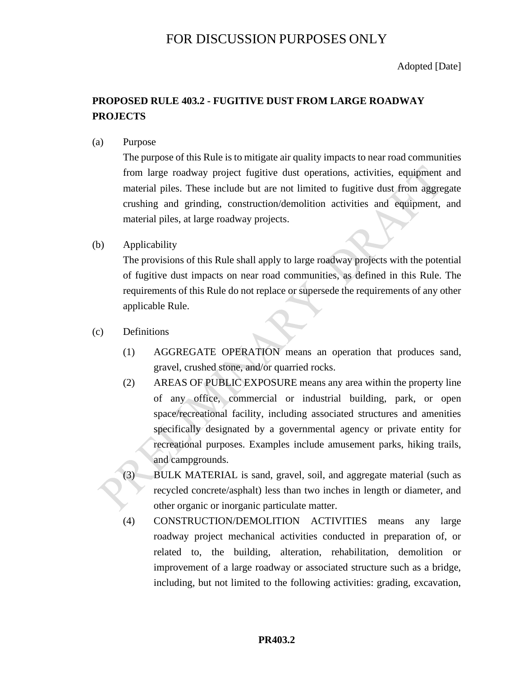# FOR DISCUSSION PURPOSES ONLY

Adopted [Date]

# **PROPOSED RULE 403.2 - FUGITIVE DUST FROM LARGE ROADWAY PROJECTS**

(a) Purpose

The purpose of this Rule is to mitigate air quality impacts to near road communities from large roadway project fugitive dust operations, activities, equipment and material piles. These include but are not limited to fugitive dust from aggregate crushing and grinding, construction/demolition activities and equipment, and material piles, at large roadway projects.

(b) Applicability

The provisions of this Rule shall apply to large roadway projects with the potential of fugitive dust impacts on near road communities, as defined in this Rule. The requirements of this Rule do not replace or supersede the requirements of any other applicable Rule.

- (c) Definitions
	- (1) AGGREGATE OPERATION means an operation that produces sand, gravel, crushed stone, and/or quarried rocks.
	- (2) AREAS OF PUBLIC EXPOSURE means any area within the property line of any office, commercial or industrial building, park, or open space/recreational facility, including associated structures and amenities specifically designated by a governmental agency or private entity for recreational purposes. Examples include amusement parks, hiking trails, and campgrounds.
	- (3) BULK MATERIAL is sand, gravel, soil, and aggregate material (such as recycled concrete/asphalt) less than two inches in length or diameter, and other organic or inorganic particulate matter.
	- (4) CONSTRUCTION/DEMOLITION ACTIVITIES means any large roadway project mechanical activities conducted in preparation of, or related to, the building, alteration, rehabilitation, demolition or improvement of a large roadway or associated structure such as a bridge, including, but not limited to the following activities: grading, excavation,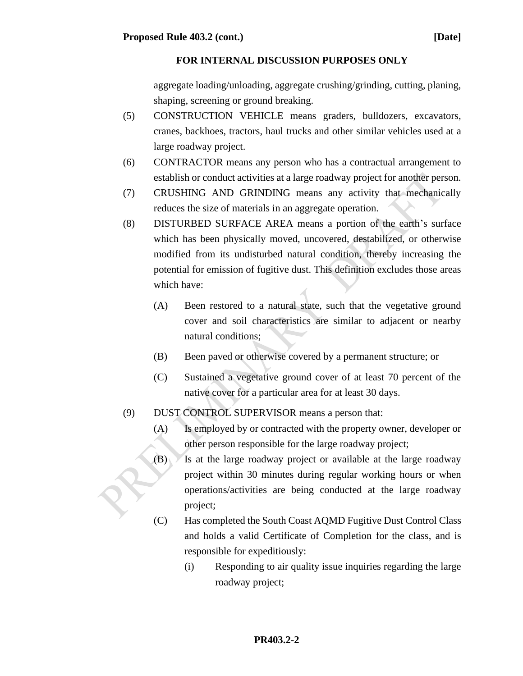aggregate loading/unloading, aggregate crushing/grinding, cutting, planing, shaping, screening or ground breaking.

- (5) CONSTRUCTION VEHICLE means graders, bulldozers, excavators, cranes, backhoes, tractors, haul trucks and other similar vehicles used at a large roadway project.
- (6) CONTRACTOR means any person who has a contractual arrangement to establish or conduct activities at a large roadway project for another person.
- (7) CRUSHING AND GRINDING means any activity that mechanically reduces the size of materials in an aggregate operation.
- (8) DISTURBED SURFACE AREA means a portion of the earth's surface which has been physically moved, uncovered, destabilized, or otherwise modified from its undisturbed natural condition, thereby increasing the potential for emission of fugitive dust. This definition excludes those areas which have:
	- (A) Been restored to a natural state, such that the vegetative ground cover and soil characteristics are similar to adjacent or nearby natural conditions;
	- (B) Been paved or otherwise covered by a permanent structure; or
	- (C) Sustained a vegetative ground cover of at least 70 percent of the native cover for a particular area for at least 30 days.
- (9) DUST CONTROL SUPERVISOR means a person that:
	- (A) Is employed by or contracted with the property owner, developer or other person responsible for the large roadway project;
	- $(B)$  Is at the large roadway project or available at the large roadway project within 30 minutes during regular working hours or when operations/activities are being conducted at the large roadway project;
	- (C) Has completed the South Coast AQMD Fugitive Dust Control Class and holds a valid Certificate of Completion for the class, and is responsible for expeditiously:
		- (i) Responding to air quality issue inquiries regarding the large roadway project;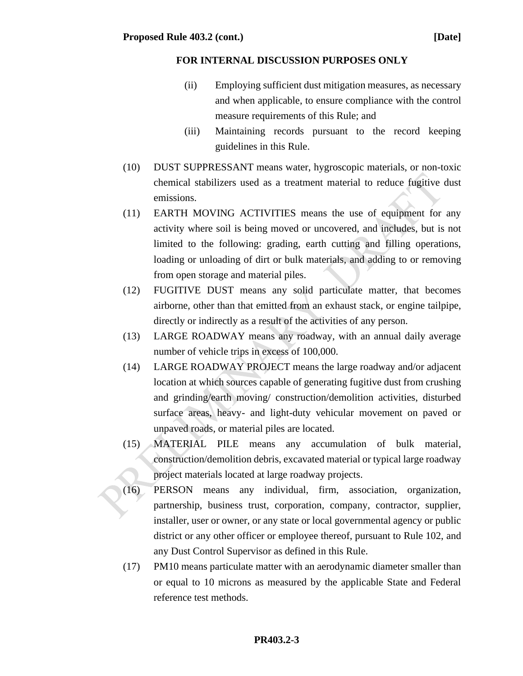- (ii) Employing sufficient dust mitigation measures, as necessary and when applicable, to ensure compliance with the control measure requirements of this Rule; and
- (iii) Maintaining records pursuant to the record keeping guidelines in this Rule.
- (10) DUST SUPPRESSANT means water, hygroscopic materials, or non-toxic chemical stabilizers used as a treatment material to reduce fugitive dust emissions.
- (11) EARTH MOVING ACTIVITIES means the use of equipment for any activity where soil is being moved or uncovered, and includes, but is not limited to the following: grading, earth cutting and filling operations, loading or unloading of dirt or bulk materials, and adding to or removing from open storage and material piles.
- (12) FUGITIVE DUST means any solid particulate matter, that becomes airborne, other than that emitted from an exhaust stack, or engine tailpipe, directly or indirectly as a result of the activities of any person.
- (13) LARGE ROADWAY means any roadway, with an annual daily average number of vehicle trips in excess of 100,000.
- (14) LARGE ROADWAY PROJECT means the large roadway and/or adjacent location at which sources capable of generating fugitive dust from crushing and grinding/earth moving/ construction/demolition activities, disturbed surface areas, heavy- and light-duty vehicular movement on paved or unpaved roads, or material piles are located.
- (15) MATERIAL PILE means any accumulation of bulk material, construction/demolition debris, excavated material or typical large roadway project materials located at large roadway projects.
- (16) PERSON means any individual, firm, association, organization, partnership, business trust, corporation, company, contractor, supplier, installer, user or owner, or any state or local governmental agency or public district or any other officer or employee thereof, pursuant to Rule 102, and any Dust Control Supervisor as defined in this Rule.
- (17) PM10 means particulate matter with an aerodynamic diameter smaller than or equal to 10 microns as measured by the applicable State and Federal reference test methods.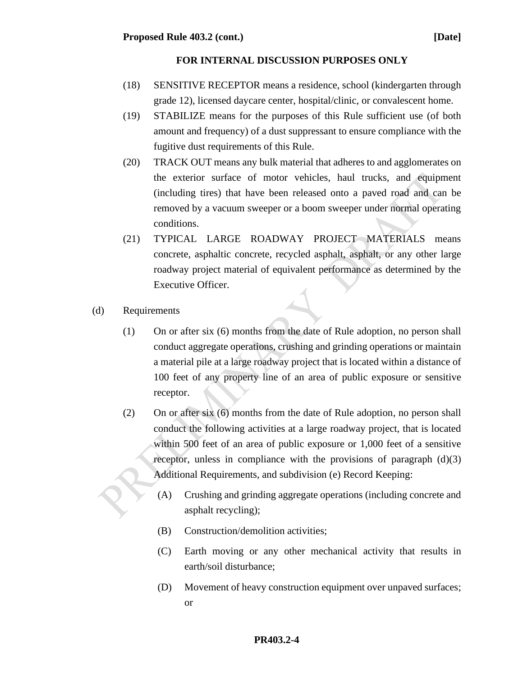- (18) SENSITIVE RECEPTOR means a residence, school (kindergarten through grade 12), licensed daycare center, hospital/clinic, or convalescent home.
- (19) STABILIZE means for the purposes of this Rule sufficient use (of both amount and frequency) of a dust suppressant to ensure compliance with the fugitive dust requirements of this Rule.
- (20) TRACK OUT means any bulk material that adheres to and agglomerates on the exterior surface of motor vehicles, haul trucks, and equipment (including tires) that have been released onto a paved road and can be removed by a vacuum sweeper or a boom sweeper under normal operating conditions.
- (21) TYPICAL LARGE ROADWAY PROJECT MATERIALS means concrete, asphaltic concrete, recycled asphalt, asphalt, or any other large roadway project material of equivalent performance as determined by the Executive Officer.
- (d) Requirements
	- (1) On or after six (6) months from the date of Rule adoption, no person shall conduct aggregate operations, crushing and grinding operations or maintain a material pile at a large roadway project that is located within a distance of 100 feet of any property line of an area of public exposure or sensitive receptor.
	- (2) On or after six (6) months from the date of Rule adoption, no person shall conduct the following activities at a large roadway project, that is located within 500 feet of an area of public exposure or 1,000 feet of a sensitive receptor, unless in compliance with the provisions of paragraph  $(d)(3)$ Additional Requirements, and subdivision (e) Record Keeping:
		- (A) Crushing and grinding aggregate operations (including concrete and asphalt recycling);
		- (B) Construction/demolition activities;
		- (C) Earth moving or any other mechanical activity that results in earth/soil disturbance;
		- (D) Movement of heavy construction equipment over unpaved surfaces; or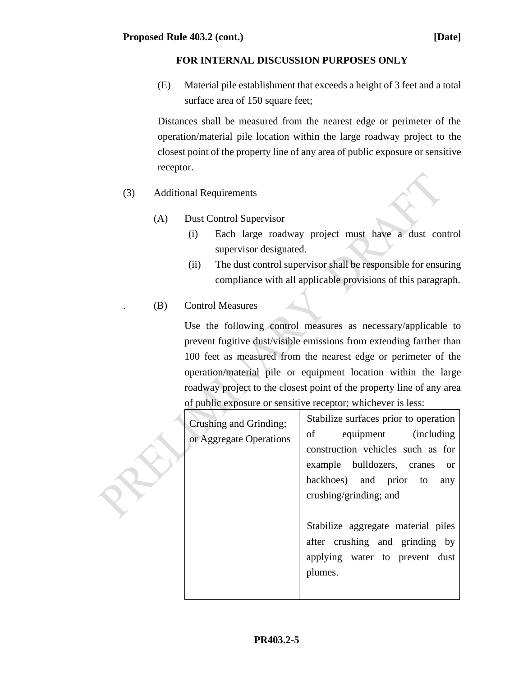(E) Material pile establishment that exceeds a height of 3 feet and a total surface area of 150 square feet;

Distances shall be measured from the nearest edge or perimeter of the operation/material pile location within the large roadway project to the closest point of the property line of any area of public exposure or sensitive receptor.

- (3) Additional Requirements
	- (A) Dust Control Supervisor
		- (i) Each large roadway project must have a dust control supervisor designated.
		- (ii) The dust control supervisor shall be responsible for ensuring compliance with all applicable provisions of this paragraph.
	- . (B) Control Measures

Use the following control measures as necessary/applicable to prevent fugitive dust/visible emissions from extending farther than 100 feet as measured from the nearest edge or perimeter of the operation/material pile or equipment location within the large roadway project to the closest point of the property line of any area of public exposure or sensitive receptor; whichever is less:

| Crushing and Grinding;<br>or Aggregate Operations | Stabilize surfaces prior to operation<br>equipment (including<br>of<br>construction vehicles such as for<br>example bulldozers, cranes<br><sub>or</sub><br>backhoes) and prior to<br>any<br>crushing/grinding; and |
|---------------------------------------------------|--------------------------------------------------------------------------------------------------------------------------------------------------------------------------------------------------------------------|
|                                                   | Stabilize aggregate material piles<br>after crushing and grinding by<br>applying water to prevent dust<br>plumes.                                                                                                  |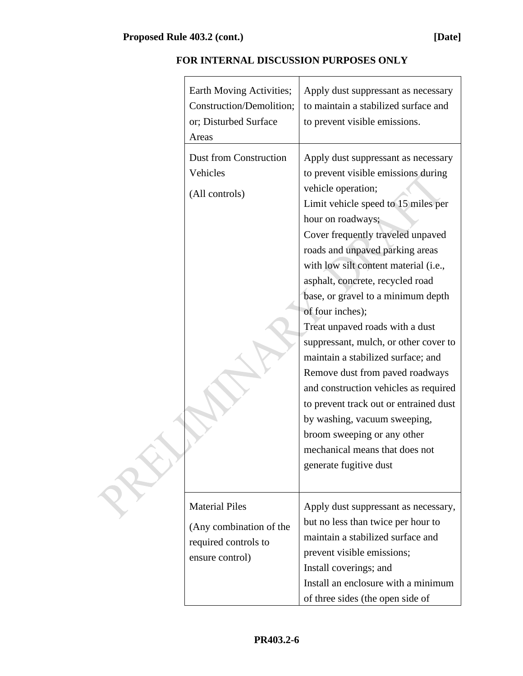| Earth Moving Activities;<br>Construction/Demolition;<br>or; Disturbed Surface<br>Areas      | Apply dust suppressant as necessary<br>to maintain a stabilized surface and<br>to prevent visible emissions.                                                                                                                                                                                                                                                                                                                                                                                                                                                                                                                                                                                                                                   |
|---------------------------------------------------------------------------------------------|------------------------------------------------------------------------------------------------------------------------------------------------------------------------------------------------------------------------------------------------------------------------------------------------------------------------------------------------------------------------------------------------------------------------------------------------------------------------------------------------------------------------------------------------------------------------------------------------------------------------------------------------------------------------------------------------------------------------------------------------|
| Dust from Construction<br>Vehicles<br>(All controls)                                        | Apply dust suppressant as necessary<br>to prevent visible emissions during<br>vehicle operation;<br>Limit vehicle speed to 15 miles per<br>hour on roadways;<br>Cover frequently traveled unpaved<br>roads and unpaved parking areas<br>with low silt content material (i.e.,<br>asphalt, concrete, recycled road<br>base, or gravel to a minimum depth<br>of four inches);<br>Treat unpaved roads with a dust<br>suppressant, mulch, or other cover to<br>maintain a stabilized surface; and<br>Remove dust from paved roadways<br>and construction vehicles as required<br>to prevent track out or entrained dust<br>by washing, vacuum sweeping,<br>broom sweeping or any other<br>mechanical means that does not<br>generate fugitive dust |
| <b>Material Piles</b><br>(Any combination of the<br>required controls to<br>ensure control) | Apply dust suppressant as necessary,<br>but no less than twice per hour to<br>maintain a stabilized surface and<br>prevent visible emissions;<br>Install coverings; and<br>Install an enclosure with a minimum<br>of three sides (the open side of                                                                                                                                                                                                                                                                                                                                                                                                                                                                                             |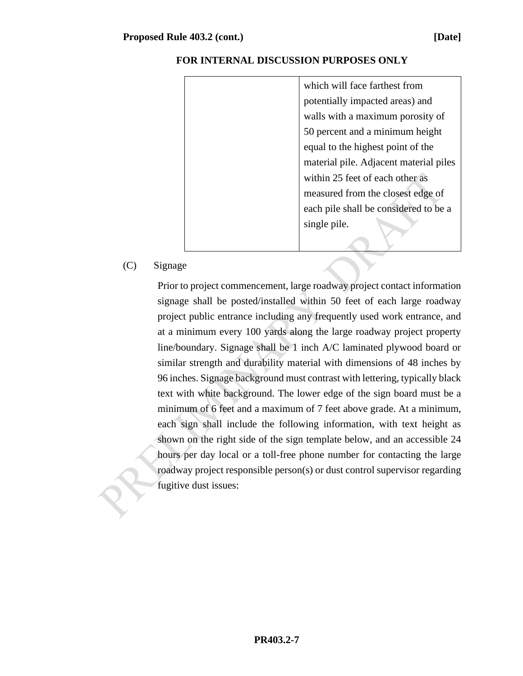| which will face farthest from          |
|----------------------------------------|
| potentially impacted areas) and        |
| walls with a maximum porosity of       |
| 50 percent and a minimum height        |
| equal to the highest point of the      |
| material pile. Adjacent material piles |
| within 25 feet of each other as        |
| measured from the closest edge of      |
| each pile shall be considered to be a  |
| single pile.                           |
|                                        |

# (C) Signage

Prior to project commencement, large roadway project contact information signage shall be posted/installed within 50 feet of each large roadway project public entrance including any frequently used work entrance, and at a minimum every 100 yards along the large roadway project property line/boundary. Signage shall be 1 inch A/C laminated plywood board or similar strength and durability material with dimensions of 48 inches by 96 inches. Signage background must contrast with lettering, typically black text with white background. The lower edge of the sign board must be a minimum of 6 feet and a maximum of 7 feet above grade. At a minimum, each sign shall include the following information, with text height as shown on the right side of the sign template below, and an accessible 24 hours per day local or a toll-free phone number for contacting the large roadway project responsible person(s) or dust control supervisor regarding fugitive dust issues: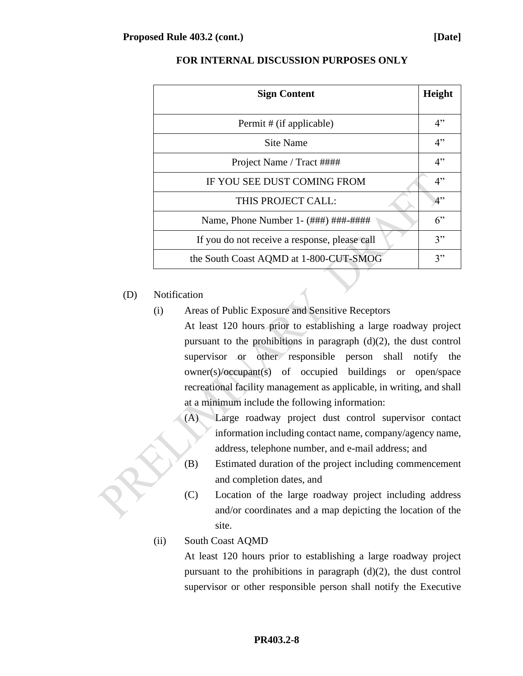| <b>Sign Content</b>                           |          |
|-----------------------------------------------|----------|
| Permit # (if applicable)                      | 4"       |
| Site Name                                     |          |
| Project Name / Tract ####                     | 4"<br>4" |
| IF YOU SEE DUST COMING FROM                   | 4"       |
| THIS PROJECT CALL:                            | 4"       |
| Name, Phone Number 1 - (###) ###-####         |          |
| If you do not receive a response, please call |          |
| the South Coast AQMD at 1-800-CUT-SMOG        | 3"<br>3" |
|                                               |          |

#### (D) Notification

- (i) Areas of Public Exposure and Sensitive Receptors
	- At least 120 hours prior to establishing a large roadway project pursuant to the prohibitions in paragraph (d)(2), the dust control supervisor or other responsible person shall notify the owner(s)/occupant(s) of occupied buildings or open/space recreational facility management as applicable, in writing, and shall at a minimum include the following information:
		- (A) Large roadway project dust control supervisor contact information including contact name, company/agency name, address, telephone number, and e-mail address; and
		- (B) Estimated duration of the project including commencement and completion dates, and
		- (C) Location of the large roadway project including address and/or coordinates and a map depicting the location of the site.
- (ii) South Coast AQMD

At least 120 hours prior to establishing a large roadway project pursuant to the prohibitions in paragraph  $(d)(2)$ , the dust control supervisor or other responsible person shall notify the Executive